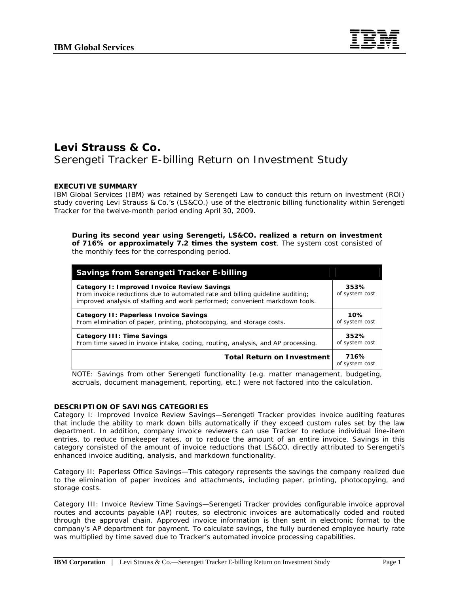

# **Levi Strauss & Co.**  Serengeti Tracker E-billing Return on Investment Study

## **EXECUTIVE SUMMARY**

IBM Global Services (IBM) was retained by Serengeti Law to conduct this return on investment (ROI) study covering Levi Strauss & Co.'s (LS&CO.) use of the electronic billing functionality within Serengeti Tracker for the twelve-month period ending April 30, 2009.

## **During its second year using Serengeti, LS&CO. realized a return on investment of 716% or approximately 7.2 times the system cost**. The system cost consisted of the monthly fees for the corresponding period.

| <b>Savings from Serengeti Tracker E-billing</b>                                                                                                                                                              |                        |
|--------------------------------------------------------------------------------------------------------------------------------------------------------------------------------------------------------------|------------------------|
| Category I: Improved Invoice Review Savings<br>From invoice reductions due to automated rate and billing quideline auditing;<br>improved analysis of staffing and work performed; convenient markdown tools. | 353%<br>of system cost |
| Category II: Paperless Invoice Savings<br>From elimination of paper, printing, photocopying, and storage costs.                                                                                              | 10%<br>of system cost  |
| Category III: Time Savings<br>From time saved in invoice intake, coding, routing, analysis, and AP processing.                                                                                               | 352%<br>of system cost |
| <b>Total Return on Investment</b>                                                                                                                                                                            | 716%<br>of system cost |

*NOTE: Savings from other Serengeti functionality (e.g. matter management, budgeting, accruals, document management, reporting, etc.) were not factored into the calculation.*

### **DESCRIPTION OF SAVINGS CATEGORIES**

Category I: Improved Invoice Review Savings—Serengeti Tracker provides invoice auditing features that include the ability to mark down bills automatically if they exceed custom rules set by the law department. In addition, company invoice reviewers can use Tracker to reduce individual line-item entries, to reduce timekeeper rates, or to reduce the amount of an entire invoice. Savings in this category consisted of the amount of invoice reductions that LS&CO. directly attributed to Serengeti's enhanced invoice auditing, analysis, and markdown functionality.

Category II: Paperless Office Savings—This category represents the savings the company realized due to the elimination of paper invoices and attachments, including paper, printing, photocopying, and storage costs.

Category III: Invoice Review Time Savings—Serengeti Tracker provides configurable invoice approval routes and accounts payable (AP) routes, so electronic invoices are automatically coded and routed through the approval chain. Approved invoice information is then sent in electronic format to the company's AP department for payment. To calculate savings, the fully burdened employee hourly rate was multiplied by time saved due to Tracker's automated invoice processing capabilities.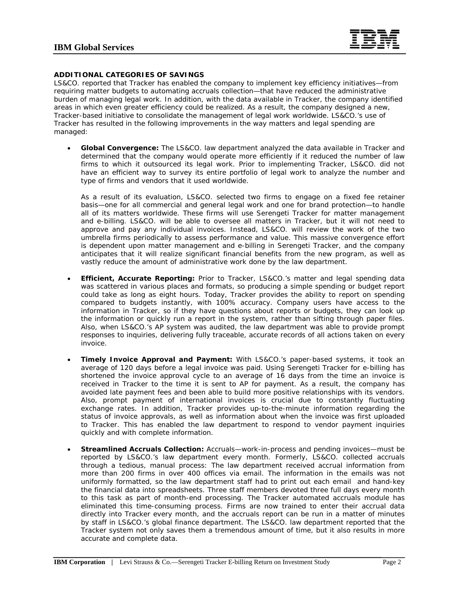

## **ADDITIONAL CATEGORIES OF SAVINGS**

LS&CO. reported that Tracker has enabled the company to implement key efficiency initiatives—from requiring matter budgets to automating accruals collection—that have reduced the administrative burden of managing legal work. In addition, with the data available in Tracker, the company identified areas in which even greater efficiency could be realized. As a result, the company designed a new, Tracker-based initiative to consolidate the management of legal work worldwide. LS&CO.'s use of Tracker has resulted in the following improvements in the way matters and legal spending are managed:

 **Global Convergence:** The LS&CO. law department analyzed the data available in Tracker and determined that the company would operate more efficiently if it reduced the number of law firms to which it outsourced its legal work. Prior to implementing Tracker, LS&CO. did not have an efficient way to survey its entire portfolio of legal work to analyze the number and type of firms and vendors that it used worldwide.

As a result of its evaluation, LS&CO. selected two firms to engage on a fixed fee retainer basis—one for all commercial and general legal work and one for brand protection—to handle all of its matters worldwide. These firms will use Serengeti Tracker for matter management and e-billing. LS&CO. will be able to oversee all matters in Tracker, but it will not need to approve and pay any individual invoices. Instead, LS&CO. will review the work of the two umbrella firms periodically to assess performance and value. This massive convergence effort is dependent upon matter management and e-billing in Serengeti Tracker, and the company anticipates that it will realize significant financial benefits from the new program, as well as vastly reduce the amount of administrative work done by the law department.

- **Efficient, Accurate Reporting:** Prior to Tracker, LS&CO.'s matter and legal spending data was scattered in various places and formats, so producing a simple spending or budget report could take as long as eight hours. Today, Tracker provides the ability to report on spending compared to budgets instantly, with 100% accuracy. Company users have access to the information in Tracker, so if they have questions about reports or budgets, they can look up the information or quickly run a report in the system, rather than sifting through paper files. Also, when LS&CO.'s AP system was audited, the law department was able to provide prompt responses to inquiries, delivering fully traceable, accurate records of all actions taken on every invoice.
- **Timely Invoice Approval and Payment:** With LS&CO.'s paper-based systems, it took an average of 120 days before a legal invoice was paid. Using Serengeti Tracker for e-billing has shortened the invoice approval cycle to an average of 16 days from the time an invoice is received in Tracker to the time it is sent to AP for payment. As a result, the company has avoided late payment fees and been able to build more positive relationships with its vendors. Also, prompt payment of international invoices is crucial due to constantly fluctuating exchange rates. In addition, Tracker provides up-to-the-minute information regarding the status of invoice approvals, as well as information about when the invoice was first uploaded to Tracker. This has enabled the law department to respond to vendor payment inquiries quickly and with complete information.
- **Streamlined Accruals Collection:** Accruals—work-in-process and pending invoices—must be reported by LS&CO.'s law department every month. Formerly, LS&CO. collected accruals through a tedious, manual process: The law department received accrual information from more than 200 firms in over 400 offices via email. The information in the emails was not uniformly formatted, so the law department staff had to print out each email and hand-key the financial data into spreadsheets. Three staff members devoted three full days every month to this task as part of month-end processing. The Tracker automated accruals module has eliminated this time-consuming process. Firms are now trained to enter their accrual data directly into Tracker every month, and the accruals report can be run in a matter of minutes by staff in LS&CO.'s global finance department. The LS&CO. law department reported that the Tracker system not only saves them a tremendous amount of time, but it also results in more accurate and complete data.